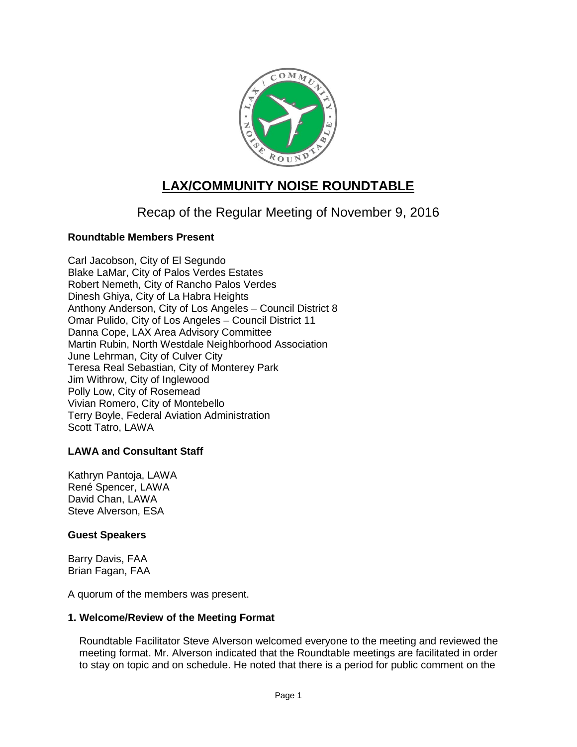

# **LAX/COMMUNITY NOISE ROUNDTABLE**

Recap of the Regular Meeting of November 9, 2016

## **Roundtable Members Present**

Carl Jacobson, City of El Segundo Blake LaMar, City of Palos Verdes Estates Robert Nemeth, City of Rancho Palos Verdes Dinesh Ghiya, City of La Habra Heights Anthony Anderson, City of Los Angeles – Council District 8 Omar Pulido, City of Los Angeles – Council District 11 Danna Cope, LAX Area Advisory Committee Martin Rubin, North Westdale Neighborhood Association June Lehrman, City of Culver City Teresa Real Sebastian, City of Monterey Park Jim Withrow, City of Inglewood Polly Low, City of Rosemead Vivian Romero, City of Montebello Terry Boyle, Federal Aviation Administration Scott Tatro, LAWA

## **LAWA and Consultant Staff**

Kathryn Pantoja, LAWA René Spencer, LAWA David Chan, LAWA Steve Alverson, ESA

## **Guest Speakers**

Barry Davis, FAA Brian Fagan, FAA

A quorum of the members was present.

#### **1. Welcome/Review of the Meeting Format**

Roundtable Facilitator Steve Alverson welcomed everyone to the meeting and reviewed the meeting format. Mr. Alverson indicated that the Roundtable meetings are facilitated in order to stay on topic and on schedule. He noted that there is a period for public comment on the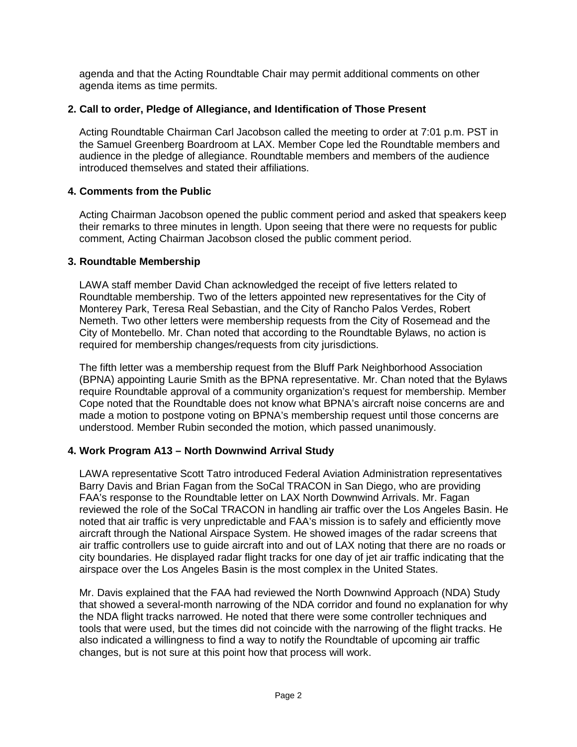agenda and that the Acting Roundtable Chair may permit additional comments on other agenda items as time permits.

## **2. Call to order, Pledge of Allegiance, and Identification of Those Present**

Acting Roundtable Chairman Carl Jacobson called the meeting to order at 7:01 p.m. PST in the Samuel Greenberg Boardroom at LAX. Member Cope led the Roundtable members and audience in the pledge of allegiance. Roundtable members and members of the audience introduced themselves and stated their affiliations.

#### **4. Comments from the Public**

Acting Chairman Jacobson opened the public comment period and asked that speakers keep their remarks to three minutes in length. Upon seeing that there were no requests for public comment, Acting Chairman Jacobson closed the public comment period.

#### **3. Roundtable Membership**

LAWA staff member David Chan acknowledged the receipt of five letters related to Roundtable membership. Two of the letters appointed new representatives for the City of Monterey Park, Teresa Real Sebastian, and the City of Rancho Palos Verdes, Robert Nemeth. Two other letters were membership requests from the City of Rosemead and the City of Montebello. Mr. Chan noted that according to the Roundtable Bylaws, no action is required for membership changes/requests from city jurisdictions.

The fifth letter was a membership request from the Bluff Park Neighborhood Association (BPNA) appointing Laurie Smith as the BPNA representative. Mr. Chan noted that the Bylaws require Roundtable approval of a community organization's request for membership. Member Cope noted that the Roundtable does not know what BPNA's aircraft noise concerns are and made a motion to postpone voting on BPNA's membership request until those concerns are understood. Member Rubin seconded the motion, which passed unanimously.

#### **4. Work Program A13 – North Downwind Arrival Study**

LAWA representative Scott Tatro introduced Federal Aviation Administration representatives Barry Davis and Brian Fagan from the SoCal TRACON in San Diego, who are providing FAA's response to the Roundtable letter on LAX North Downwind Arrivals. Mr. Fagan reviewed the role of the SoCal TRACON in handling air traffic over the Los Angeles Basin. He noted that air traffic is very unpredictable and FAA's mission is to safely and efficiently move aircraft through the National Airspace System. He showed images of the radar screens that air traffic controllers use to guide aircraft into and out of LAX noting that there are no roads or city boundaries. He displayed radar flight tracks for one day of jet air traffic indicating that the airspace over the Los Angeles Basin is the most complex in the United States.

Mr. Davis explained that the FAA had reviewed the North Downwind Approach (NDA) Study that showed a several-month narrowing of the NDA corridor and found no explanation for why the NDA flight tracks narrowed. He noted that there were some controller techniques and tools that were used, but the times did not coincide with the narrowing of the flight tracks. He also indicated a willingness to find a way to notify the Roundtable of upcoming air traffic changes, but is not sure at this point how that process will work.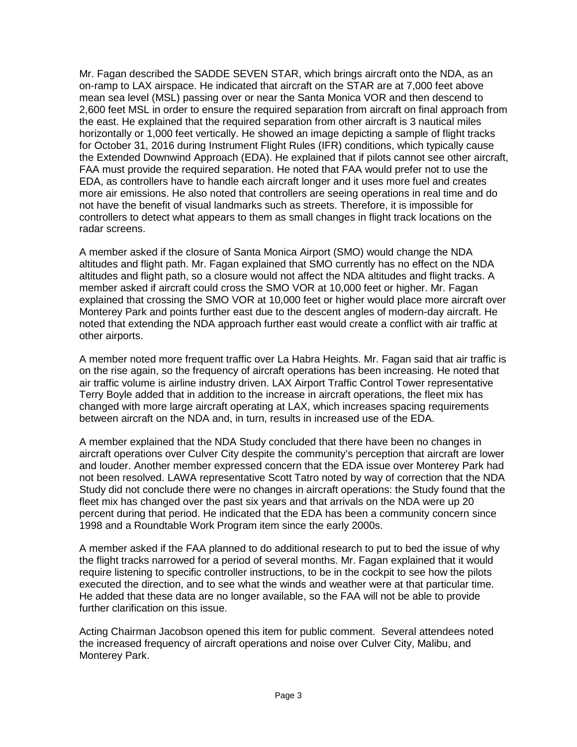Mr. Fagan described the SADDE SEVEN STAR, which brings aircraft onto the NDA, as an on-ramp to LAX airspace. He indicated that aircraft on the STAR are at 7,000 feet above mean sea level (MSL) passing over or near the Santa Monica VOR and then descend to 2,600 feet MSL in order to ensure the required separation from aircraft on final approach from the east. He explained that the required separation from other aircraft is 3 nautical miles horizontally or 1,000 feet vertically. He showed an image depicting a sample of flight tracks for October 31, 2016 during Instrument Flight Rules (IFR) conditions, which typically cause the Extended Downwind Approach (EDA). He explained that if pilots cannot see other aircraft, FAA must provide the required separation. He noted that FAA would prefer not to use the EDA, as controllers have to handle each aircraft longer and it uses more fuel and creates more air emissions. He also noted that controllers are seeing operations in real time and do not have the benefit of visual landmarks such as streets. Therefore, it is impossible for controllers to detect what appears to them as small changes in flight track locations on the radar screens.

A member asked if the closure of Santa Monica Airport (SMO) would change the NDA altitudes and flight path. Mr. Fagan explained that SMO currently has no effect on the NDA altitudes and flight path, so a closure would not affect the NDA altitudes and flight tracks. A member asked if aircraft could cross the SMO VOR at 10,000 feet or higher. Mr. Fagan explained that crossing the SMO VOR at 10,000 feet or higher would place more aircraft over Monterey Park and points further east due to the descent angles of modern-day aircraft. He noted that extending the NDA approach further east would create a conflict with air traffic at other airports.

A member noted more frequent traffic over La Habra Heights. Mr. Fagan said that air traffic is on the rise again, so the frequency of aircraft operations has been increasing. He noted that air traffic volume is airline industry driven. LAX Airport Traffic Control Tower representative Terry Boyle added that in addition to the increase in aircraft operations, the fleet mix has changed with more large aircraft operating at LAX, which increases spacing requirements between aircraft on the NDA and, in turn, results in increased use of the EDA.

A member explained that the NDA Study concluded that there have been no changes in aircraft operations over Culver City despite the community's perception that aircraft are lower and louder. Another member expressed concern that the EDA issue over Monterey Park had not been resolved. LAWA representative Scott Tatro noted by way of correction that the NDA Study did not conclude there were no changes in aircraft operations: the Study found that the fleet mix has changed over the past six years and that arrivals on the NDA were up 20 percent during that period. He indicated that the EDA has been a community concern since 1998 and a Roundtable Work Program item since the early 2000s.

A member asked if the FAA planned to do additional research to put to bed the issue of why the flight tracks narrowed for a period of several months. Mr. Fagan explained that it would require listening to specific controller instructions, to be in the cockpit to see how the pilots executed the direction, and to see what the winds and weather were at that particular time. He added that these data are no longer available, so the FAA will not be able to provide further clarification on this issue.

Acting Chairman Jacobson opened this item for public comment. Several attendees noted the increased frequency of aircraft operations and noise over Culver City, Malibu, and Monterey Park.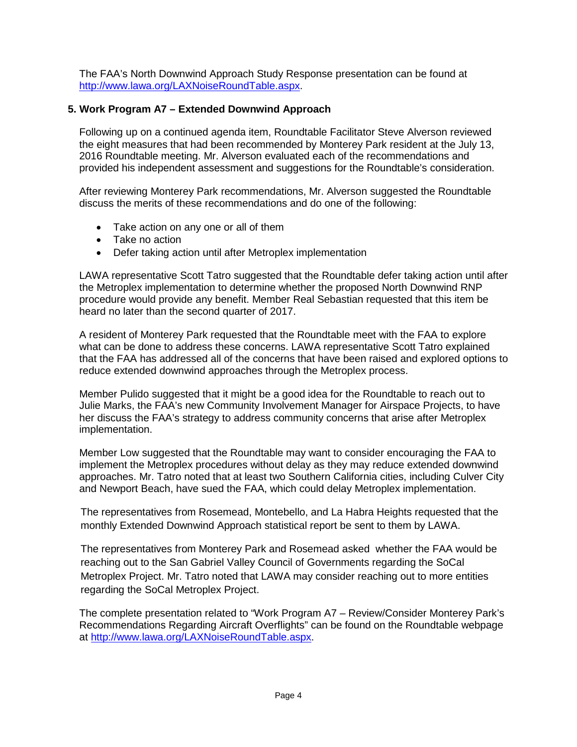The FAA's North Downwind Approach Study Response presentation can be found at [http://www.lawa.org/LAXNoiseRoundTable.aspx.](http://www.lawa.org/LAXNoiseRoundTable.aspx)

## **5. Work Program A7 – Extended Downwind Approach**

Following up on a continued agenda item, Roundtable Facilitator Steve Alverson reviewed the eight measures that had been recommended by Monterey Park resident at the July 13, 2016 Roundtable meeting. Mr. Alverson evaluated each of the recommendations and provided his independent assessment and suggestions for the Roundtable's consideration.

After reviewing Monterey Park recommendations, Mr. Alverson suggested the Roundtable discuss the merits of these recommendations and do one of the following:

- Take action on any one or all of them
- Take no action
- Defer taking action until after Metroplex implementation

LAWA representative Scott Tatro suggested that the Roundtable defer taking action until after the Metroplex implementation to determine whether the proposed North Downwind RNP procedure would provide any benefit. Member Real Sebastian requested that this item be heard no later than the second quarter of 2017.

A resident of Monterey Park requested that the Roundtable meet with the FAA to explore what can be done to address these concerns. LAWA representative Scott Tatro explained that the FAA has addressed all of the concerns that have been raised and explored options to reduce extended downwind approaches through the Metroplex process.

Member Pulido suggested that it might be a good idea for the Roundtable to reach out to Julie Marks, the FAA's new Community Involvement Manager for Airspace Projects, to have her discuss the FAA's strategy to address community concerns that arise after Metroplex implementation.

Member Low suggested that the Roundtable may want to consider encouraging the FAA to implement the Metroplex procedures without delay as they may reduce extended downwind approaches. Mr. Tatro noted that at least two Southern California cities, including Culver City and Newport Beach, have sued the FAA, which could delay Metroplex implementation.

The representatives from Rosemead, Montebello, and La Habra Heights requested that the monthly Extended Downwind Approach statistical report be sent to them by LAWA.

The representatives from Monterey Park and Rosemead asked whether the FAA would be reaching out to the San Gabriel Valley Council of Governments regarding the SoCal Metroplex Project. Mr. Tatro noted that LAWA may consider reaching out to more entities regarding the SoCal Metroplex Project.

The complete presentation related to "Work Program A7 – Review/Consider Monterey Park's Recommendations Regarding Aircraft Overflights" can be found on the Roundtable webpage at [http://www.lawa.org/LAXNoiseRoundTable.aspx.](http://www.lawa.org/LAXNoiseRoundTable.aspx)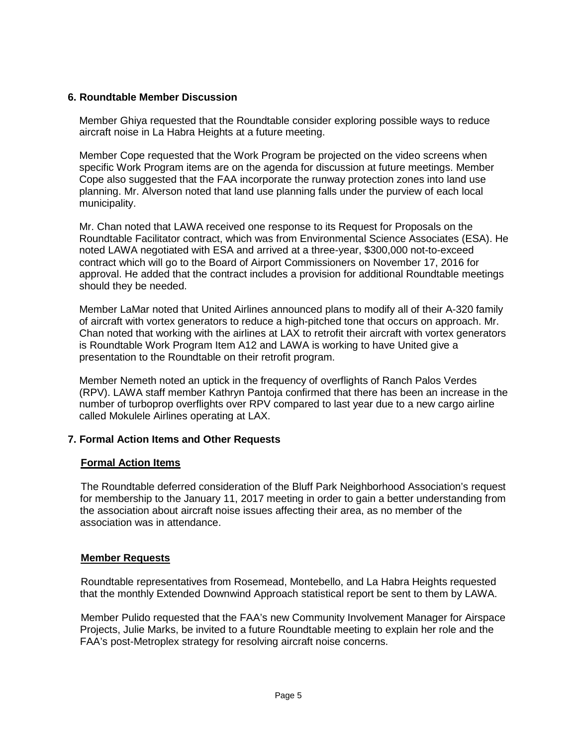### **6. Roundtable Member Discussion**

Member Ghiya requested that the Roundtable consider exploring possible ways to reduce aircraft noise in La Habra Heights at a future meeting.

Member Cope requested that the Work Program be projected on the video screens when specific Work Program items are on the agenda for discussion at future meetings. Member Cope also suggested that the FAA incorporate the runway protection zones into land use planning. Mr. Alverson noted that land use planning falls under the purview of each local municipality.

Mr. Chan noted that LAWA received one response to its Request for Proposals on the Roundtable Facilitator contract, which was from Environmental Science Associates (ESA). He noted LAWA negotiated with ESA and arrived at a three-year, \$300,000 not-to-exceed contract which will go to the Board of Airport Commissioners on November 17, 2016 for approval. He added that the contract includes a provision for additional Roundtable meetings should they be needed.

Member LaMar noted that United Airlines announced plans to modify all of their A-320 family of aircraft with vortex generators to reduce a high-pitched tone that occurs on approach. Mr. Chan noted that working with the airlines at LAX to retrofit their aircraft with vortex generators is Roundtable Work Program Item A12 and LAWA is working to have United give a presentation to the Roundtable on their retrofit program.

Member Nemeth noted an uptick in the frequency of overflights of Ranch Palos Verdes (RPV). LAWA staff member Kathryn Pantoja confirmed that there has been an increase in the number of turboprop overflights over RPV compared to last year due to a new cargo airline called Mokulele Airlines operating at LAX.

## **7. Formal Action Items and Other Requests**

#### **Formal Action Items**

The Roundtable deferred consideration of the Bluff Park Neighborhood Association's request for membership to the January 11, 2017 meeting in order to gain a better understanding from the association about aircraft noise issues affecting their area, as no member of the association was in attendance.

#### **Member Requests**

Roundtable representatives from Rosemead, Montebello, and La Habra Heights requested that the monthly Extended Downwind Approach statistical report be sent to them by LAWA.

Member Pulido requested that the FAA's new Community Involvement Manager for Airspace Projects, Julie Marks, be invited to a future Roundtable meeting to explain her role and the FAA's post-Metroplex strategy for resolving aircraft noise concerns.